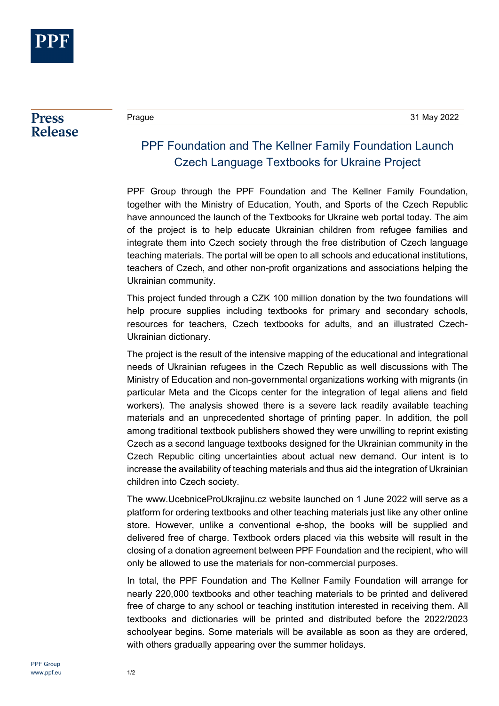

## **Press Release**

## PPF Foundation and The Kellner Family Foundation Launch Czech Language Textbooks for Ukraine Project

PPF Group through the PPF Foundation and The Kellner Family Foundation, together with the Ministry of Education, Youth, and Sports of the Czech Republic have announced the launch of the [Textbooks for Ukraine](https://ucebniceproukrajinu.cz/) web portal today. The aim of the project is to help educate Ukrainian children from refugee families and integrate them into Czech society through the free distribution of Czech language teaching materials. The portal will be open to all schools and educational institutions, teachers of Czech, and other non-profit organizations and associations helping the Ukrainian community.

This project funded through a CZK 100 million donation by the two foundations will help procure supplies including textbooks for primary and secondary schools, resources for teachers, Czech textbooks for adults, and an illustrated Czech-Ukrainian dictionary.

The project is the result of the intensive mapping of the educational and integrational needs of Ukrainian refugees in the Czech Republic as well discussions with The Ministry of Education and non-governmental organizations working with migrants (in particular Meta and the Cicops center for the integration of legal aliens and field workers). The analysis showed there is a severe lack readily available teaching materials and an unprecedented shortage of printing paper. In addition, the poll among traditional textbook publishers showed they were unwilling to reprint existing Czech as a second language textbooks designed for the Ukrainian community in the Czech Republic citing uncertainties about actual new demand. Our intent is to increase the availability of teaching materials and thus aid the integration of Ukrainian children into Czech society.

The [www.UcebniceProUkrajinu.cz](http://www.ucebniceproukrajinu.cz/) website launched on 1 June 2022 will serve as a platform for ordering textbooks and other teaching materials just like any other online store. However, unlike a conventional e-shop, the books will be supplied and delivered free of charge. Textbook orders placed via this website will result in the closing of a donation agreement between PPF Foundation and the recipient, who will only be allowed to use the materials for non-commercial purposes.

In total, the PPF Foundation and The Kellner Family Foundation will arrange for nearly 220,000 textbooks and other teaching materials to be printed and delivered free of charge to any school or teaching institution interested in receiving them. All textbooks and dictionaries will be printed and distributed before the 2022/2023 schoolyear begins. Some materials will be available as soon as they are ordered, with others gradually appearing over the summer holidays.